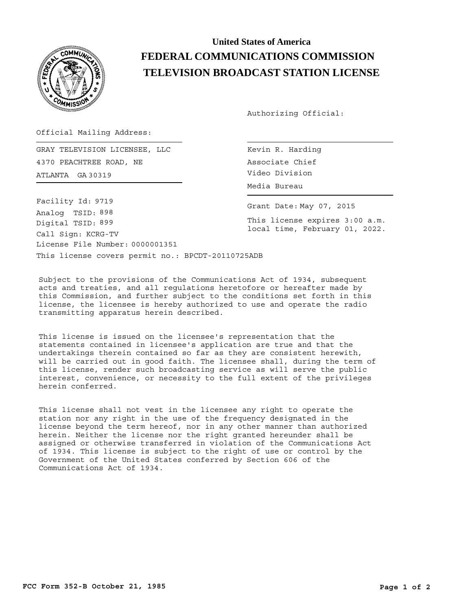

## **United States of America FEDERAL COMMUNICATIONS COMMISSION TELEVISION BROADCAST STATION LICENSE**

Authorizing Official:

Official Mailing Address:

ATLANTA Video Division GA 30319 GRAY TELEVISION LICENSEE, LLC 4370 PEACHTREE ROAD, NE

This license covers permit no.: BPCDT-20110725ADB License File Number: 0000001351 Call Sign: KCRG-TV Facility Id: 9719 Digital TSID: 899 Analog TSID: 898

Kevin R. Harding Associate Chief Media Bureau

Grant Date: May 07, 2015

This license expires 3:00 a.m. local time, February 01, 2022.

Subject to the provisions of the Communications Act of 1934, subsequent acts and treaties, and all regulations heretofore or hereafter made by this Commission, and further subject to the conditions set forth in this license, the licensee is hereby authorized to use and operate the radio transmitting apparatus herein described.

This license is issued on the licensee's representation that the statements contained in licensee's application are true and that the undertakings therein contained so far as they are consistent herewith, will be carried out in good faith. The licensee shall, during the term of this license, render such broadcasting service as will serve the public interest, convenience, or necessity to the full extent of the privileges herein conferred.

This license shall not vest in the licensee any right to operate the station nor any right in the use of the frequency designated in the license beyond the term hereof, nor in any other manner than authorized herein. Neither the license nor the right granted hereunder shall be assigned or otherwise transferred in violation of the Communications Act of 1934. This license is subject to the right of use or control by the Government of the United States conferred by Section 606 of the Communications Act of 1934.